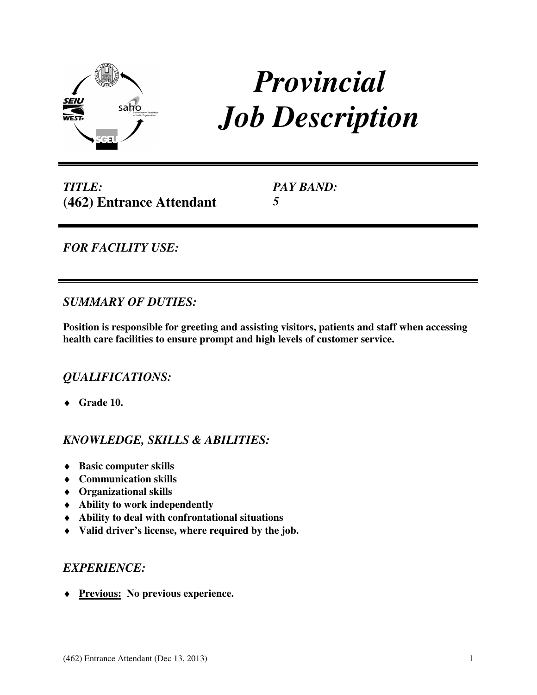

# *Provincial Job Description*

*TITLE:*  **(462) Entrance Attendant**  *PAY BAND:* *5* 

*FOR FACILITY USE:* 

## *SUMMARY OF DUTIES:*

**Position is responsible for greeting and assisting visitors, patients and staff when accessing health care facilities to ensure prompt and high levels of customer service.** 

# *QUALIFICATIONS:*

♦ **Grade 10.**

# *KNOWLEDGE, SKILLS & ABILITIES:*

- ♦ **Basic computer skills**
- ♦ **Communication skills**
- ♦ **Organizational skills**
- ♦ **Ability to work independently**
- ♦ **Ability to deal with confrontational situations**
- ♦ **Valid driver's license, where required by the job.**

### *EXPERIENCE:*

♦ **Previous: No previous experience.**